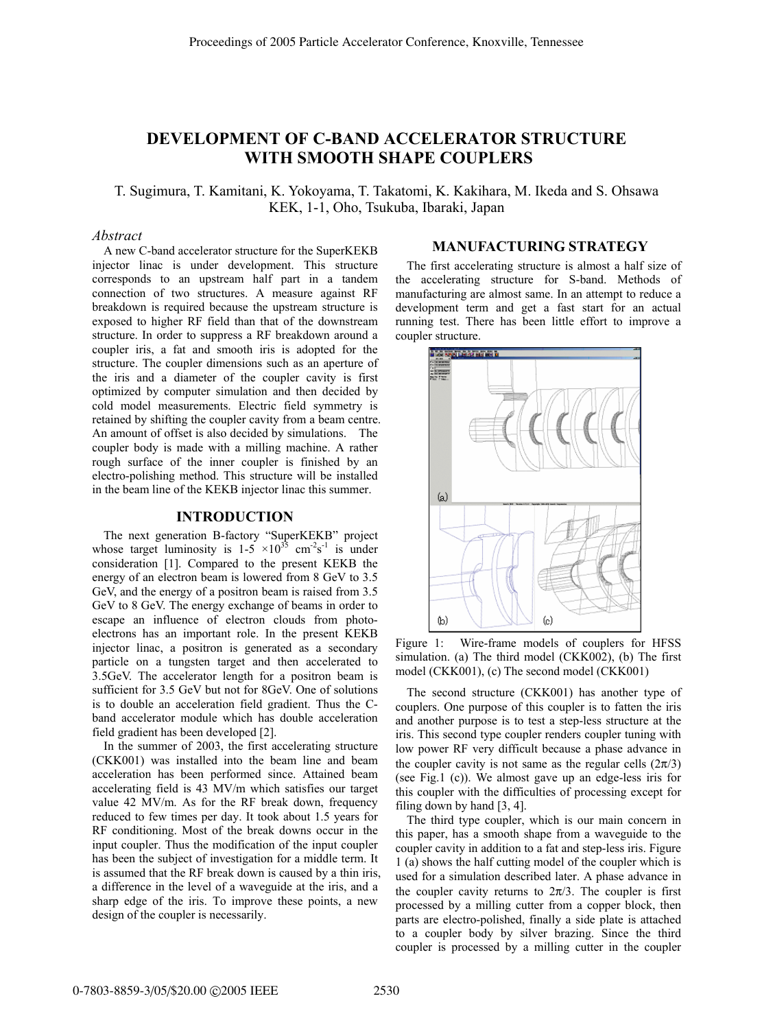# **DEVELOPMENT OF C-BAND ACCELERATOR STRUCTURE WITH SMOOTH SHAPE COUPLERS**

T. Sugimura, T. Kamitani, K. Yokoyama, T. Takatomi, K. Kakihara, M. Ikeda and S. Ohsawa KEK, 1-1, Oho, Tsukuba, Ibaraki, Japan

#### *Abstract*

A new C-band accelerator structure for the SuperKEKB injector linac is under development. This structure corresponds to an upstream half part in a tandem connection of two structures. A measure against RF breakdown is required because the upstream structure is exposed to higher RF field than that of the downstream structure. In order to suppress a RF breakdown around a coupler iris, a fat and smooth iris is adopted for the structure. The coupler dimensions such as an aperture of the iris and a diameter of the coupler cavity is first optimized by computer simulation and then decided by cold model measurements. Electric field symmetry is retained by shifting the coupler cavity from a beam centre. An amount of offset is also decided by simulations. The coupler body is made with a milling machine. A rather rough surface of the inner coupler is finished by an electro-polishing method. This structure will be installed in the beam line of the KEKB injector linac this summer.

### **INTRODUCTION**

The next generation B-factory "SuperKEKB" project whose target luminosity is  $1-5 \times 10^{35}$  cm<sup>-2</sup>s<sup>-1</sup> is under consideration [1]. Compared to the present KEKB the energy of an electron beam is lowered from 8 GeV to 3.5 GeV, and the energy of a positron beam is raised from 3.5 GeV to 8 GeV. The energy exchange of beams in order to escape an influence of electron clouds from photoelectrons has an important role. In the present KEKB injector linac, a positron is generated as a secondary particle on a tungsten target and then accelerated to 3.5GeV. The accelerator length for a positron beam is sufficient for 3.5 GeV but not for 8GeV. One of solutions is to double an acceleration field gradient. Thus the Cband accelerator module which has double acceleration field gradient has been developed [2].

In the summer of 2003, the first accelerating structure (CKK001) was installed into the beam line and beam acceleration has been performed since. Attained beam accelerating field is 43 MV/m which satisfies our target value 42 MV/m. As for the RF break down, frequency reduced to few times per day. It took about 1.5 years for RF conditioning. Most of the break downs occur in the input coupler. Thus the modification of the input coupler has been the subject of investigation for a middle term. It is assumed that the RF break down is caused by a thin iris, a difference in the level of a waveguide at the iris, and a sharp edge of the iris. To improve these points, a new design of the coupler is necessarily.

# **MANUFACTURING STRATEGY**

The first accelerating structure is almost a half size of the accelerating structure for S-band. Methods of manufacturing are almost same. In an attempt to reduce a development term and get a fast start for an actual running test. There has been little effort to improve a coupler structure.



Figure 1: Wire-frame models of couplers for HFSS simulation. (a) The third model (CKK002), (b) The first model (CKK001), (c) The second model (CKK001)

The second structure (CKK001) has another type of couplers. One purpose of this coupler is to fatten the iris and another purpose is to test a step-less structure at the iris. This second type coupler renders coupler tuning with low power RF very difficult because a phase advance in the coupler cavity is not same as the regular cells  $(2\pi/3)$ (see Fig.1 (c)). We almost gave up an edge-less iris for this coupler with the difficulties of processing except for filing down by hand [3, 4].

The third type coupler, which is our main concern in this paper, has a smooth shape from a waveguide to the coupler cavity in addition to a fat and step-less iris. Figure 1 (a) shows the half cutting model of the coupler which is used for a simulation described later. A phase advance in the coupler cavity returns to  $2\pi/3$ . The coupler is first processed by a milling cutter from a copper block, then parts are electro-polished, finally a side plate is attached to a coupler body by silver brazing. Since the third coupler is processed by a milling cutter in the coupler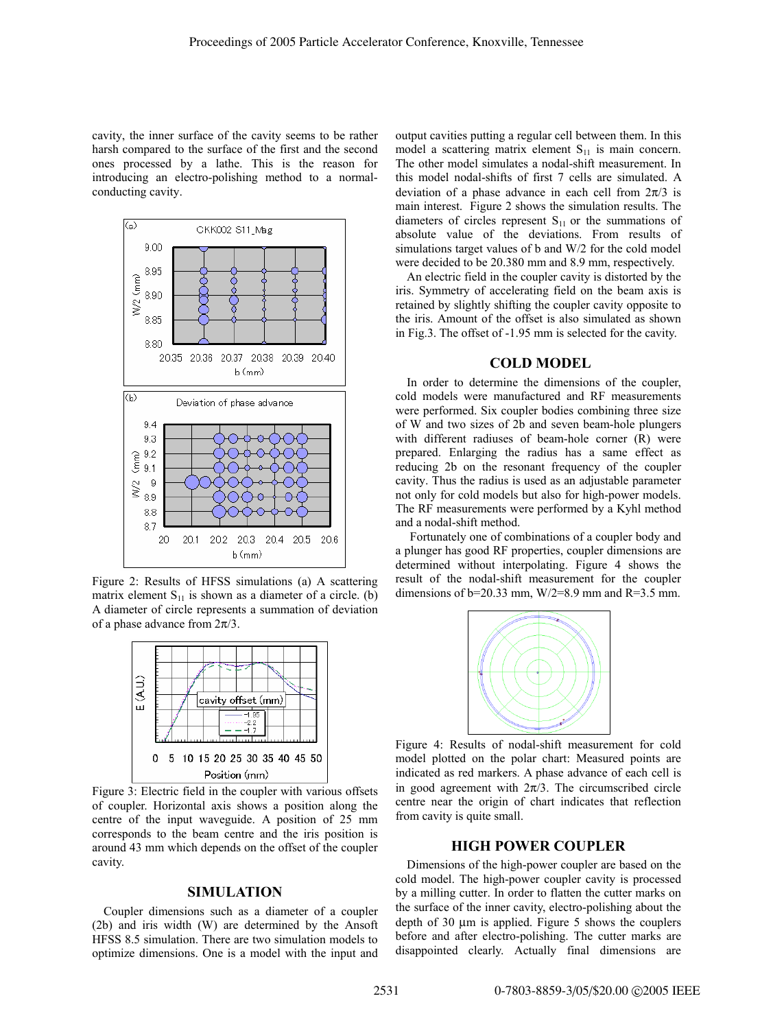cavity, the inner surface of the cavity seems to be rather harsh compared to the surface of the first and the second ones processed by a lathe. This is the reason for introducing an electro-polishing method to a normalconducting cavity.



Figure 2: Results of HFSS simulations (a) A scattering matrix element  $S_{11}$  is shown as a diameter of a circle. (b) A diameter of circle represents a summation of deviation of a phase advance from  $2\pi/3$ .



Figure 3: Electric field in the coupler with various offsets of coupler. Horizontal axis shows a position along the centre of the input waveguide. A position of 25 mm corresponds to the beam centre and the iris position is around 43 mm which depends on the offset of the coupler cavity.

#### **SIMULATION**

Coupler dimensions such as a diameter of a coupler (2b) and iris width (W) are determined by the Ansoft HFSS 8.5 simulation. There are two simulation models to optimize dimensions. One is a model with the input and output cavities putting a regular cell between them. In this model a scattering matrix element  $S_{11}$  is main concern. The other model simulates a nodal-shift measurement. In this model nodal-shifts of first 7 cells are simulated. A deviation of a phase advance in each cell from  $2\pi/3$  is main interest. Figure 2 shows the simulation results. The diameters of circles represent  $S<sub>11</sub>$  or the summations of absolute value of the deviations. From results of simulations target values of b and W/2 for the cold model were decided to be 20.380 mm and 8.9 mm, respectively.

An electric field in the coupler cavity is distorted by the iris. Symmetry of accelerating field on the beam axis is retained by slightly shifting the coupler cavity opposite to the iris. Amount of the offset is also simulated as shown in Fig.3. The offset of -1.95 mm is selected for the cavity.

### **COLD MODEL**

In order to determine the dimensions of the coupler, cold models were manufactured and RF measurements were performed. Six coupler bodies combining three size of W and two sizes of 2b and seven beam-hole plungers with different radiuses of beam-hole corner (R) were prepared. Enlarging the radius has a same effect as reducing 2b on the resonant frequency of the coupler cavity. Thus the radius is used as an adjustable parameter not only for cold models but also for high-power models. The RF measurements were performed by a Kyhl method and a nodal-shift method.

 Fortunately one of combinations of a coupler body and a plunger has good RF properties, coupler dimensions are determined without interpolating. Figure 4 shows the result of the nodal-shift measurement for the coupler dimensions of  $b=20.33$  mm,  $W/2=8.9$  mm and  $R=3.5$  mm.



Figure 4: Results of nodal-shift measurement for cold model plotted on the polar chart: Measured points are indicated as red markers. A phase advance of each cell is in good agreement with  $2\pi/3$ . The circumscribed circle centre near the origin of chart indicates that reflection from cavity is quite small.

### **HIGH POWER COUPLER**

Dimensions of the high-power coupler are based on the cold model. The high-power coupler cavity is processed by a milling cutter. In order to flatten the cutter marks on the surface of the inner cavity, electro-polishing about the depth of 30 µm is applied. Figure 5 shows the couplers before and after electro-polishing. The cutter marks are disappointed clearly. Actually final dimensions are